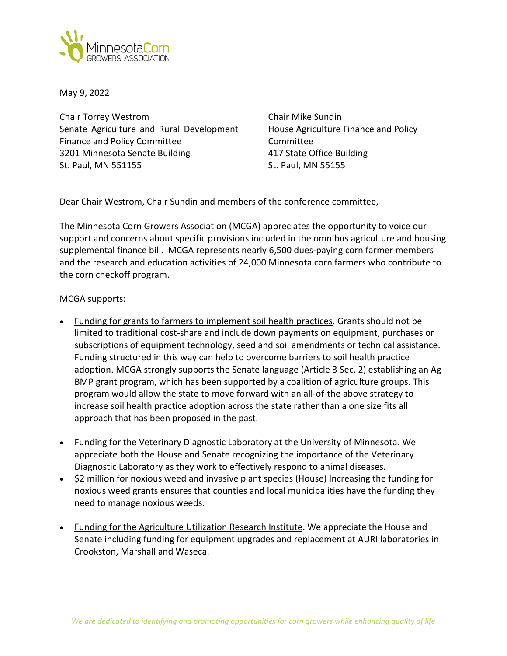

May 9, 2022

Chair Torrey Westrom Senate Agriculture and Rural Development Finance and Policy Committee 3201 Minnesota Senate Building St. Paul, MN 551155

Chair Mike Sundin House Agriculture Finance and Policy Committee 417 State Office Building St. Paul, MN 55155

Dear Chair Westrom, Chair Sundin and members of the conference committee,

The Minnesota Corn Growers Association (MCGA) appreciates the opportunity to voice our support and concerns about specific provisions included in the omnibus agriculture and housing supplemental finance bill. MCGA represents nearly 6,500 dues-paying corn farmer members and the research and education activities of 24,000 Minnesota corn farmers who contribute to the corn checkoff program.

MCGA supports:

- Funding for grants to farmers to implement soil health practices. Grants should not be limited to traditional cost-share and include down payments on equipment, purchases or subscriptions of equipment technology, seed and soil amendments or technical assistance. Funding structured in this way can help to overcome barriers to soil health practice adoption. MCGA strongly supports the Senate language (Article 3 Sec. 2) establishing an Ag BMP grant program, which has been supported by a coalition of agriculture groups. This program would allow the state to move forward with an all-of-the above strategy to increase soil health practice adoption across the state rather than a one size fits all approach that has been proposed in the past.
- Funding for the Veterinary Diagnostic Laboratory at the University of Minnesota. We appreciate both the House and Senate recognizing the importance of the Veterinary Diagnostic Laboratory as they work to effectively respond to animal diseases.
- \$2 million for noxious weed and invasive plant species (House) Increasing the funding for noxious weed grants ensures that counties and local municipalities have the funding they need to manage noxious weeds.
- Funding for the Agriculture Utilization Research Institute. We appreciate the House and Senate including funding for equipment upgrades and replacement at AURI laboratories in Crookston, Marshall and Waseca.